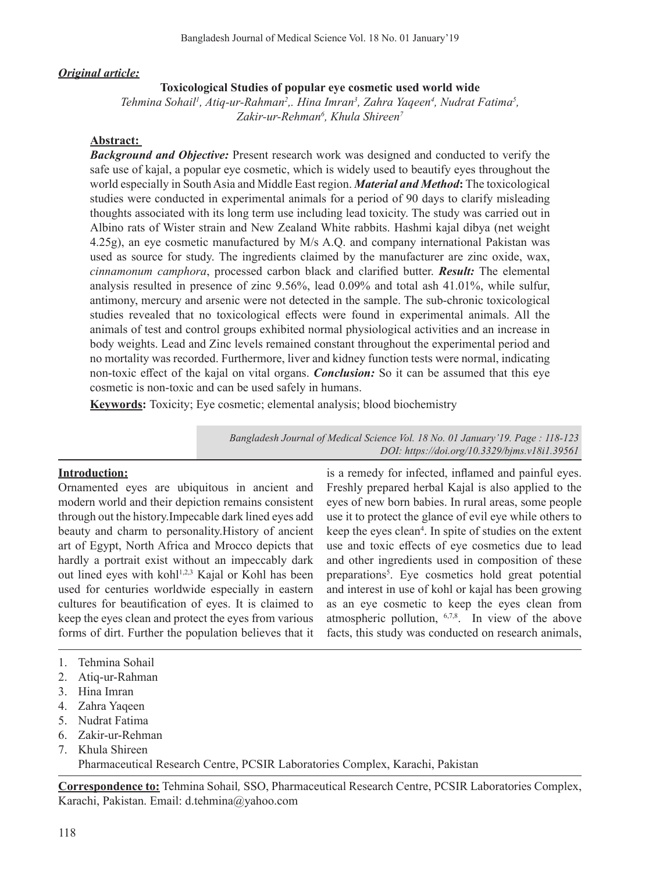### *Original article:*

# **Toxicological Studies of popular eye cosmetic used world wide**

Tehmina Sohail<sup>1</sup>, Atiq-ur-Rahman<sup>2</sup>,. Hina Imran<sup>3</sup>, Zahra Yaqeen<sup>4</sup>, Nudrat Fatima<sup>5</sup>, *Zakir-ur-Rehman6 , Khula Shireen7*

#### **Abstract:**

*Background and Objective:* Present research work was designed and conducted to verify the safe use of kajal, a popular eye cosmetic, which is widely used to beautify eyes throughout the world especially in SouthAsia and Middle East region. *Material and Method***:** The toxicological studies were conducted in experimental animals for a period of 90 days to clarify misleading thoughts associated with its long term use including lead toxicity. The study was carried out in Albino rats of Wister strain and New Zealand White rabbits. Hashmi kajal dibya (net weight 4.25g), an eye cosmetic manufactured by M/s A.Q. and company international Pakistan was used as source for study. The ingredients claimed by the manufacturer are zinc oxide, wax, *cinnamonum camphora*, processed carbon black and clarified butter. *Result:* The elemental analysis resulted in presence of zinc 9.56%, lead 0.09% and total ash 41.01%, while sulfur, antimony, mercury and arsenic were not detected in the sample. The sub-chronic toxicological studies revealed that no toxicological effects were found in experimental animals. All the animals of test and control groups exhibited normal physiological activities and an increase in body weights. Lead and Zinc levels remained constant throughout the experimental period and no mortality was recorded. Furthermore, liver and kidney function tests were normal, indicating non-toxic effect of the kajal on vital organs. *Conclusion:* So it can be assumed that this eye cosmetic is non-toxic and can be used safely in humans.

**Keywords:** Toxicity; Eye cosmetic; elemental analysis; blood biochemistry

*Bangladesh Journal of Medical Science Vol. 18 No. 01 January'19. Page : 118-123 DOI: https://doi.org/10.3329/bjms.v18i1.39561*

#### **Introduction:**

Ornamented eyes are ubiquitous in ancient and modern world and their depiction remains consistent through out the history.Impecable dark lined eyes add beauty and charm to personality.History of ancient art of Egypt, North Africa and Mrocco depicts that hardly a portrait exist without an impeccably dark out lined eyes with kohl<sup>1,2,3</sup> Kajal or Kohl has been used for centuries worldwide especially in eastern cultures for beautification of eyes. It is claimed to keep the eyes clean and protect the eyes from various forms of dirt. Further the population believes that it

is a remedy for infected, inflamed and painful eyes. Freshly prepared herbal Kajal is also applied to the eyes of new born babies. In rural areas, some people use it to protect the glance of evil eye while others to keep the eyes clean<sup>4</sup>. In spite of studies on the extent use and toxic effects of eye cosmetics due to lead and other ingredients used in composition of these preparations<sup>5</sup>. Eye cosmetics hold great potential and interest in use of kohl or kajal has been growing as an eye cosmetic to keep the eyes clean from atmospheric pollution, 6,7,8. In view of the above facts, this study was conducted on research animals,

- 1. Tehmina Sohail
- 2. Atiq-ur-Rahman
- 3. Hina Imran
- 4. Zahra Yaqeen
- 5. Nudrat Fatima
- 6. Zakir-ur-Rehman
- 7. Khula Shireen

Pharmaceutical Research Centre, PCSIR Laboratories Complex, Karachi, Pakistan

**Correspondence to:** Tehmina Sohail*,* SSO, Pharmaceutical Research Centre, PCSIR Laboratories Complex, Karachi, Pakistan. Email: d.tehmina@yahoo.com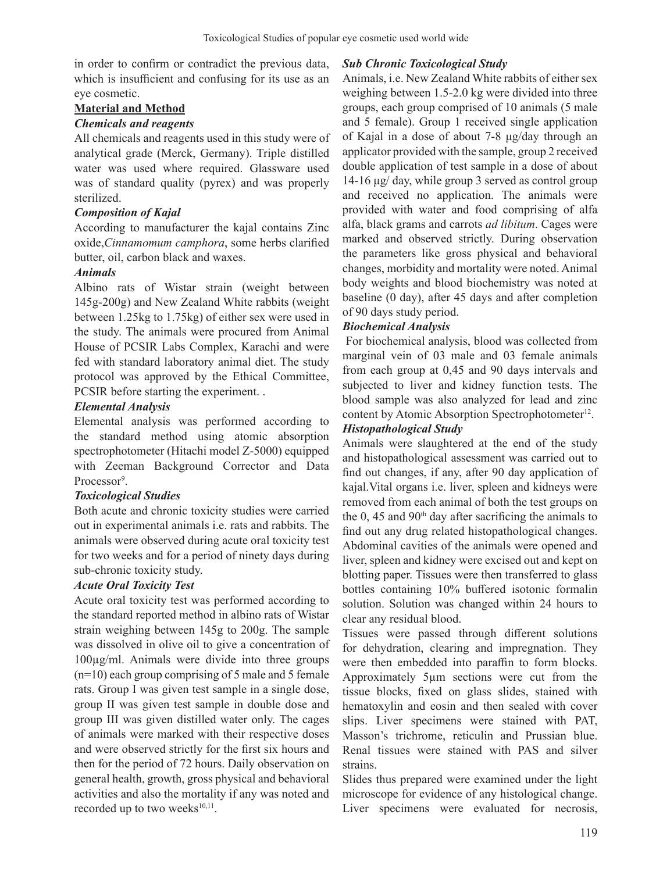in order to confirm or contradict the previous data, which is insufficient and confusing for its use as an eye cosmetic.

# **Material and Method**

# *Chemicals and reagents*

All chemicals and reagents used in this study were of analytical grade (Merck, Germany). Triple distilled water was used where required. Glassware used was of standard quality (pyrex) and was properly sterilized.

# *Composition of Kajal*

According to manufacturer the kajal contains Zinc oxide,*Cinnamomum camphora*, some herbs clarified butter, oil, carbon black and waxes.

### *Animals*

Albino rats of Wistar strain (weight between 145g-200g) and New Zealand White rabbits (weight between 1.25kg to 1.75kg) of either sex were used in the study. The animals were procured from Animal House of PCSIR Labs Complex, Karachi and were fed with standard laboratory animal diet. The study protocol was approved by the Ethical Committee, PCSIR before starting the experiment. .

# *Elemental Analysis*

Elemental analysis was performed according to the standard method using atomic absorption spectrophotometer (Hitachi model Z-5000) equipped with Zeeman Background Corrector and Data Processor<sup>9</sup>.

# *Toxicological Studies*

Both acute and chronic toxicity studies were carried out in experimental animals i.e. rats and rabbits. The animals were observed during acute oral toxicity test for two weeks and for a period of ninety days during sub-chronic toxicity study.

# *Acute Oral Toxicity Test*

Acute oral toxicity test was performed according to the standard reported method in albino rats of Wistar strain weighing between 145g to 200g. The sample was dissolved in olive oil to give a concentration of 100µg/ml. Animals were divide into three groups  $(n=10)$  each group comprising of 5 male and 5 female rats. Group I was given test sample in a single dose, group II was given test sample in double dose and group III was given distilled water only. The cages of animals were marked with their respective doses and were observed strictly for the first six hours and then for the period of 72 hours. Daily observation on general health, growth, gross physical and behavioral activities and also the mortality if any was noted and recorded up to two weeks<sup>10,11</sup>.

#### *Sub Chronic Toxicological Study*

Animals, i.e. New Zealand White rabbits of either sex weighing between 1.5-2.0 kg were divided into three groups, each group comprised of 10 animals (5 male and 5 female). Group 1 received single application of Kajal in a dose of about 7-8 μg/day through an applicator provided with the sample, group 2 received double application of test sample in a dose of about 14-16 μg/ day, while group 3 served as control group and received no application. The animals were provided with water and food comprising of alfa alfa, black grams and carrots *ad libitum*. Cages were marked and observed strictly. During observation the parameters like gross physical and behavioral changes, morbidity and mortality were noted.Animal body weights and blood biochemistry was noted at baseline (0 day), after 45 days and after completion of 90 days study period.

# *Biochemical Analysis*

For biochemical analysis, blood was collected from marginal vein of 03 male and 03 female animals from each group at 0,45 and 90 days intervals and subjected to liver and kidney function tests. The blood sample was also analyzed for lead and zinc content by Atomic Absorption Spectrophotometer<sup>12</sup>.

# *Histopathological Study*

Animals were slaughtered at the end of the study and histopathological assessment was carried out to find out changes, if any, after 90 day application of kajal.Vital organs i.e. liver, spleen and kidneys were removed from each animal of both the test groups on the 0, 45 and  $90<sup>th</sup>$  day after sacrificing the animals to find out any drug related histopathological changes. Abdominal cavities of the animals were opened and liver, spleen and kidney were excised out and kept on blotting paper. Tissues were then transferred to glass bottles containing 10% buffered isotonic formalin solution. Solution was changed within 24 hours to clear any residual blood.

Tissues were passed through different solutions for dehydration, clearing and impregnation. They were then embedded into paraffin to form blocks. Approximately 5µm sections were cut from the tissue blocks, fixed on glass slides, stained with hematoxylin and eosin and then sealed with cover slips. Liver specimens were stained with PAT, Masson's trichrome, reticulin and Prussian blue. Renal tissues were stained with PAS and silver strains.

Slides thus prepared were examined under the light microscope for evidence of any histological change. Liver specimens were evaluated for necrosis,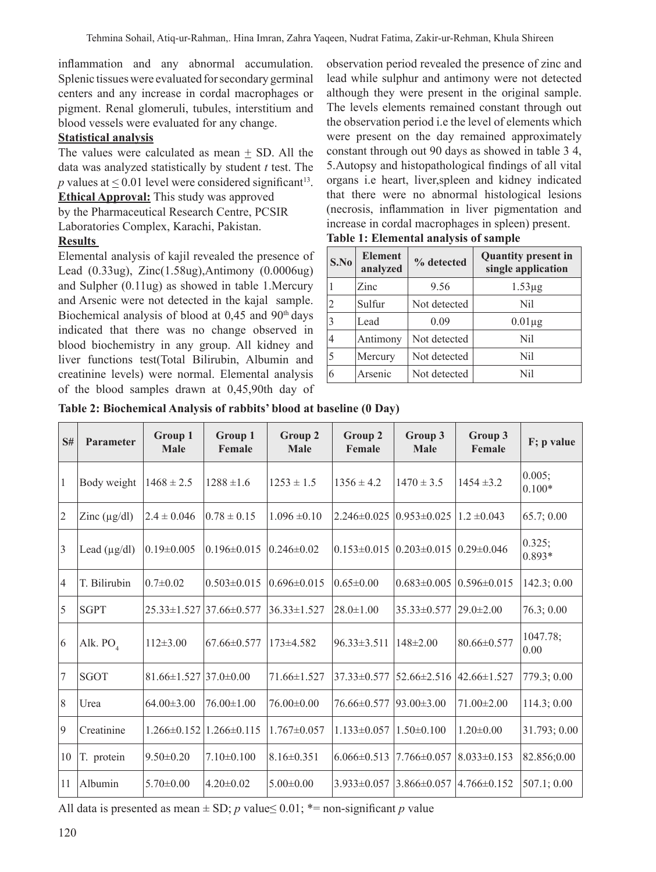inflammation and any abnormal accumulation. Splenic tissues were evaluated for secondary germinal centers and any increase in cordal macrophages or pigment. Renal glomeruli, tubules, interstitium and blood vessels were evaluated for any change.

### **Statistical analysis**

The values were calculated as mean  $\pm$  SD. All the data was analyzed statistically by student *t* test. The *p* values at  $\leq 0.01$  level were considered significant<sup>13</sup>.

**Ethical Approval:** This study was approved

by the Pharmaceutical Research Centre, PCSIR

Laboratories Complex, Karachi, Pakistan.

#### **Results**

Elemental analysis of kajil revealed the presence of Lead (0.33ug), Zinc(1.58ug),Antimony (0.0006ug) and Sulpher (0.11ug) as showed in table 1.Mercury and Arsenic were not detected in the kajal sample. Biochemical analysis of blood at 0,45 and 90<sup>th</sup> days indicated that there was no change observed in blood biochemistry in any group. All kidney and liver functions test(Total Bilirubin, Albumin and creatinine levels) were normal. Elemental analysis of the blood samples drawn at 0,45,90th day of

observation period revealed the presence of zinc and lead while sulphur and antimony were not detected although they were present in the original sample. The levels elements remained constant through out the observation period i.e the level of elements which were present on the day remained approximately constant through out 90 days as showed in table 3 4, 5.Autopsy and histopathological findings of all vital organs i.e heart, liver,spleen and kidney indicated that there were no abnormal histological lesions (necrosis, inflammation in liver pigmentation and increase in cordal macrophages in spleen) present.

| S.No           | <b>Element</b><br>analyzed | % detected   | <b>Quantity present in</b><br>single application |
|----------------|----------------------------|--------------|--------------------------------------------------|
|                | Zinc                       | 9.56         | $1.53\mu$ g                                      |
| $\overline{2}$ | Sulfur                     | Not detected | Nil                                              |
| 3              | Lead                       | 0.09         | $0.01\mu g$                                      |
| 4              | Antimony                   | Not detected | Nil                                              |
| 5              | Mercury                    | Not detected | Nil                                              |
| 6              | Arsenic                    | Not detected | Nil                                              |

| Table 1: Elemental analysis of sample |  |  |  |
|---------------------------------------|--|--|--|
|---------------------------------------|--|--|--|

| Table 2: Biochemical Analysis of rabbits' blood at baseline (0 Day) |  |
|---------------------------------------------------------------------|--|
|---------------------------------------------------------------------|--|

| S#              | <b>Parameter</b>  | Group 1<br><b>Male</b> | Group 1<br>Female  | Group 2<br><b>Male</b> | Group 2<br>Female | Group 3<br><b>Male</b> | Group 3<br>Female | F; p value         |
|-----------------|-------------------|------------------------|--------------------|------------------------|-------------------|------------------------|-------------------|--------------------|
| 1               | Body weight       | $1468 \pm 2.5$         | $1288 \pm 1.6$     | $1253 \pm 1.5$         | $1356 \pm 4.2$    | $1470 \pm 3.5$         | $1454 \pm 3.2$    | 0.005;<br>$0.100*$ |
| $ 2\rangle$     | Zinc $(\mu g/dl)$ | $2.4 \pm 0.046$        | $0.78 \pm 0.15$    | $1.096 \pm 0.10$       | $2.246\pm0.025$   | $0.953\pm0.025$        | $1.2 \pm 0.043$   | 65.7;0.00          |
| $\overline{3}$  | Lead $(\mu g/dl)$ | $0.19 \pm 0.005$       | $0.196 \pm 0.015$  | $0.246 \pm 0.02$       | $0.153\pm0.015$   | $0.203 \pm 0.015$      | $0.29 \pm 0.046$  | 0.325;<br>$0.893*$ |
| $\overline{4}$  | T. Bilirubin      | $0.7 \pm 0.02$         | $0.503 \pm 0.015$  | $0.696\pm0.015$        | $0.65 \pm 0.00$   | $0.683\pm0.005$        | $0.596 \pm 0.015$ | 142.3;0.00         |
| 5               | <b>SGPT</b>       | $25.33 \pm 1.527$      | $137.66 \pm 0.577$ | $36.33 \pm 1.527$      | $28.0 \pm 1.00$   | $35.33 \pm 0.577$      | $29.0 \pm 2.00$   | 76.3; 0.00         |
| 6               | Alk. PO           | $112\pm3.00$           | $67.66\pm0.577$    | $173\pm4.582$          | $96.33 \pm 3.511$ | $148 \pm 2.00$         | 80.66±0.577       | 1047.78;<br>0.00   |
| 7               | SGOT              | $81.66 \pm 1.527$      | $37.0 \pm 0.00$    | 71.66±1.527            | $37.33 \pm 0.577$ | $52.66\pm2.516$        | $42.66 \pm 1.527$ | 779.3; 0.00        |
| $\sqrt{8}$      | Urea              | $64.00 \pm 3.00$       | $76.00 \pm 1.00$   | $76.00 \pm 0.00$       | 76.66±0.577       | $93.00 \pm 3.00$       | $71.00\pm2.00$    | 114.3; 0.00        |
| $\vert 9 \vert$ | Creatinine        | $1.266\pm0.152$        | $1.266 \pm 0.115$  | $1.767 \pm 0.057$      | $1.133 \pm 0.057$ | $1.50\pm0.100$         | $1.20 \pm 0.00$   | 31.793; 0.00       |
| 10              | T. protein        | $9.50 \pm 0.20$        | $7.10 \pm 0.100$   | $8.16 \pm 0.351$       | $6.066 \pm 0.513$ | 7.766±0.057            | $8.033 \pm 0.153$ | 82.856;0.00        |
| 11              | Albumin           | $5.70 \pm 0.00$        | $4.20 \pm 0.02$    | $5.00 \pm 0.00$        | $3.933\pm0.057$   | $3.866\pm0.057$        | $4.766 \pm 0.152$ | 507.1; 0.00        |

All data is presented as mean  $\pm$  SD; *p* value  $\leq$  0.01;  $*$ = non-significant *p* value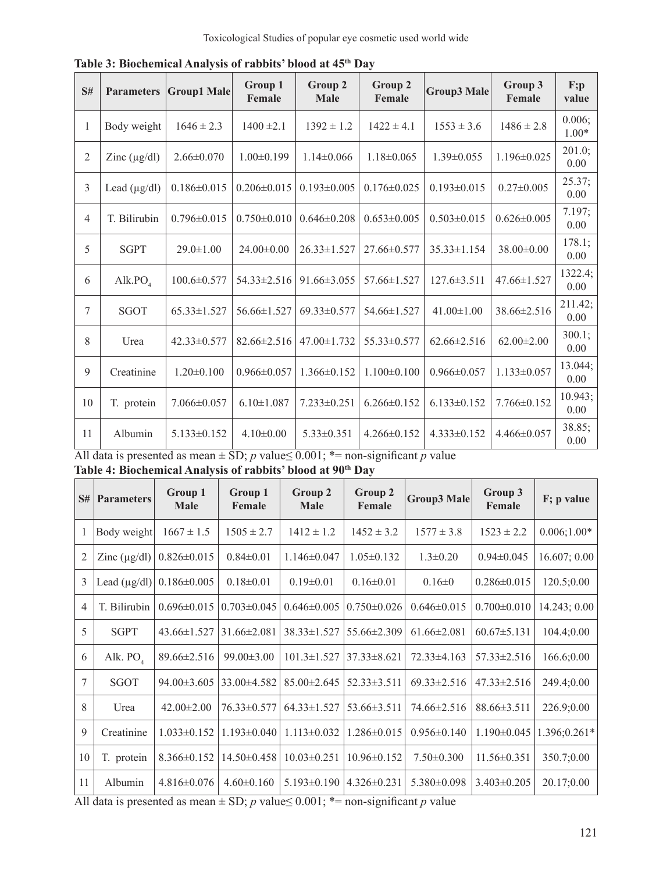| S#             | <b>Parameters</b> | <b>Group1 Male</b> | Group 1<br>Female | Group 2<br><b>Male</b> | Group 2<br>Female | <b>Group3 Male</b> | Group 3<br>Female | F;p<br>value       |
|----------------|-------------------|--------------------|-------------------|------------------------|-------------------|--------------------|-------------------|--------------------|
| 1              | Body weight       | $1646 \pm 2.3$     | $1400 \pm 2.1$    | $1392 \pm 1.2$         | $1422 \pm 4.1$    | $1553 \pm 3.6$     | $1486 \pm 2.8$    | 0.006;<br>$1.00*$  |
| 2              | Zinc $(\mu g/dl)$ | $2.66 \pm 0.070$   | $1.00 \pm 0.199$  | $1.14 \pm 0.066$       | $1.18 \pm 0.065$  | $1.39 \pm 0.055$   | 1.196±0.025       | 201.0;<br>$0.00\,$ |
| 3              | Lead $(\mu g/dl)$ | $0.186 \pm 0.015$  | $0.206 \pm 0.015$ | $0.193 \pm 0.005$      | $0.176 \pm 0.025$ | $0.193 \pm 0.015$  | $0.27 \pm 0.005$  | 25.37;<br>0.00     |
| $\overline{4}$ | T. Bilirubin      | $0.796 \pm 0.015$  | $0.750 \pm 0.010$ | $0.646 \pm 0.208$      | $0.653 \pm 0.005$ | $0.503 \pm 0.015$  | $0.626 \pm 0.005$ | 7.197;<br>0.00     |
| 5              | <b>SGPT</b>       | 29.0±1.00          | $24.00 \pm 0.00$  | 26.33±1.527            | 27.66±0.577       | 35.33±1.154        | 38.00±0.00        | 178.1;<br>$0.00\,$ |
| 6              | Alk. $PO4$        | $100.6 \pm 0.577$  | 54.33±2.516       | $91.66 \pm 3.055$      | 57.66±1.527       | $127.6 \pm 3.511$  | 47.66±1.527       | 1322.4;<br>0.00    |
| $\tau$         | SGOT              | $65.33 \pm 1.527$  | 56.66±1.527       | $69.33 \pm 0.577$      | 54.66±1.527       | $41.00 \pm 1.00$   | 38.66±2.516       | 211.42;<br>0.00    |
| 8              | Urea              | $42.33 \pm 0.577$  | $82.66 \pm 2.516$ | 47.00±1.732            | 55.33±0.577       | $62.66 \pm 2.516$  | $62.00 \pm 2.00$  | 300.1;<br>0.00     |
| 9              | Creatinine        | $1.20 \pm 0.100$   | $0.966 \pm 0.057$ | $1.366 \pm 0.152$      | $1.100 \pm 0.100$ | $0.966 \pm 0.057$  | $1.133 \pm 0.057$ | 13.044;<br>0.00    |
| 10             | T. protein        | $7.066 \pm 0.057$  | $6.10 \pm 1.087$  | $7.233 \pm 0.251$      | $6.266 \pm 0.152$ | $6.133 \pm 0.152$  | $7.766 \pm 0.152$ | 10.943;<br>0.00    |
| 11             | Albumin           | $5.133 \pm 0.152$  | $4.10 \pm 0.00$   | $5.33 \pm 0.351$       | $4.266 \pm 0.152$ | $4.333 \pm 0.152$  | $4.466 \pm 0.057$ | 38.85;<br>0.00     |

**Table 3: Biochemical Analysis of rabbits' blood at 45th Day**

All data is presented as mean  $\pm$  SD; *p* value $\leq$  0.001; \*= non-significant *p* value **Table 4: Biochemical Analysis of rabbits' blood at 90th Day**

| S# | <b>Parameters</b> | Group 1<br><b>Male</b>        | Group 1<br>Female | Group 2<br><b>Male</b> | <b>Group 2</b><br>Female | <b>Group3 Male</b> | Group 3<br>Female | F; p value     |
|----|-------------------|-------------------------------|-------------------|------------------------|--------------------------|--------------------|-------------------|----------------|
|    | Body weight       | $1667 \pm 1.5$                | $1505 \pm 2.7$    | $1412 \pm 1.2$         | $1452 \pm 3.2$           | $1577 \pm 3.8$     | $1523 \pm 2.2$    | $0.006;1.00*$  |
| 2  | Zinc $(\mu g/dl)$ | $0.826 \pm 0.015$             | $0.84 \pm 0.01$   | $1.146 \pm 0.047$      | $1.05 \pm 0.132$         | $1.3 \pm 0.20$     | $0.94 \pm 0.045$  | 16.607; 0.00   |
| 3  | Lead $(\mu g/dl)$ | $0.186 \pm 0.005$             | $0.18 \pm 0.01$   | $0.19 \pm 0.01$        | $0.16 \pm 0.01$          | $0.16 \pm 0$       | $0.286 \pm 0.015$ | 120.5;0.00     |
| 4  | T. Bilirubin      | $0.696 \pm 0.015$             | $0.703 \pm 0.045$ | $0.646 \pm 0.005$      | $0.750 \pm 0.026$        | $0.646 \pm 0.015$  | $0.700 \pm 0.010$ | 14.243; 0.00   |
| 5  | <b>SGPT</b>       | 43.66±1.527                   | $31.66 \pm 2.081$ | 38.33±1.527            | 55.66±2.309              | $61.66 \pm 2.081$  | $60.67 \pm 5.131$ | 104.4;0.00     |
| 6  | Alk. $PO4$        | 89.66±2.516                   | $99.00 \pm 3.00$  | $101.3 \pm 1.527$      | $37.33 \pm 8.621$        | $72.33\pm4.163$    | $57.33 \pm 2.516$ | 166.6;0.00     |
| 7  | SGOT              | $94.00 \pm 3.605$             | 33.00±4.582       | $85.00 \pm 2.645$      | $52.33 \pm 3.511$        | $69.33 \pm 2.516$  | $47.33 \pm 2.516$ | 249.4;0.00     |
| 8  | Urea              | 42.00±2.00                    | 76.33±0.577       | $64.33 \pm 1.527$      | $53.66 \pm 3.511$        | 74.66±2.516        | $88.66 \pm 3.511$ | 226.9;0.00     |
| 9  | Creatinine        | $1.033 \pm 0.152$             | $1.193 \pm 0.040$ | $1.113 \pm 0.032$      | $1.286 \pm 0.015$        | $0.956 \pm 0.140$  | $1.190 \pm 0.045$ | $1.396;0.261*$ |
| 10 | T. protein        | $8.366 \pm 0.152$             | $14.50 \pm 0.458$ | $10.03 \pm 0.251$      | $10.96 \pm 0.152$        | $7.50 \pm 0.300$   | $11.56 \pm 0.351$ | 350.7;0.00     |
| 11 | Albumin<br>1111   | $4.816 \pm 0.076$<br>$\sim$ 1 | $4.60 \pm 0.160$  | $5.193 \pm 0.190$      | $4.326 \pm 0.231$        | $5.380\pm0.098$    | $3.403 \pm 0.205$ | 20.17;0.00     |

All data is presented as mean  $\pm$  SD; *p* value $\leq$  0.001; \*= non-significant *p* value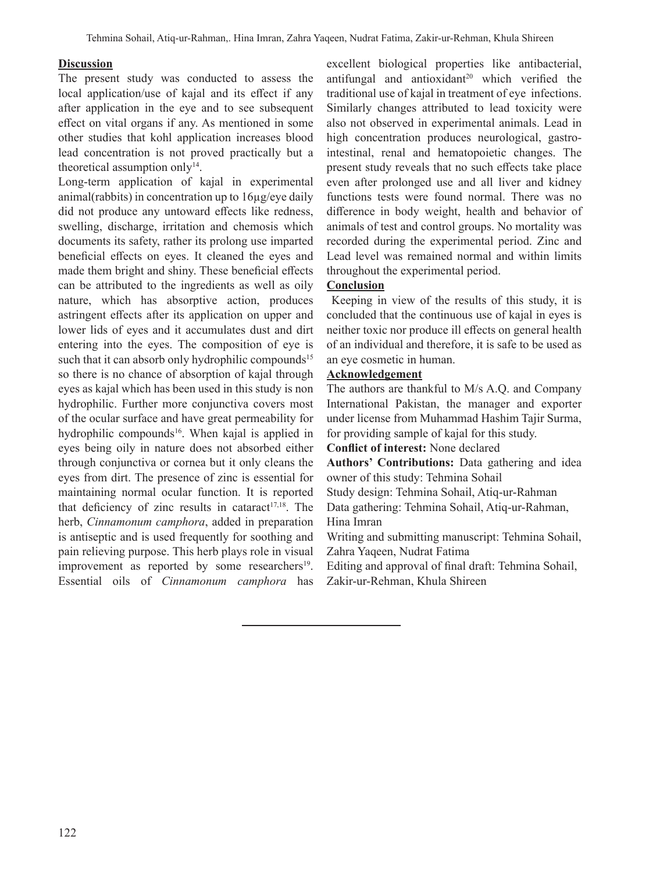### **Discussion**

The present study was conducted to assess the local application/use of kajal and its effect if any after application in the eye and to see subsequent effect on vital organs if any. As mentioned in some other studies that kohl application increases blood lead concentration is not proved practically but a theoretical assumption only $14$ .

Long-term application of kajal in experimental animal(rabbits) in concentration up to 16µg/eye daily did not produce any untoward effects like redness, swelling, discharge, irritation and chemosis which documents its safety, rather its prolong use imparted beneficial effects on eyes. It cleaned the eyes and made them bright and shiny. These beneficial effects can be attributed to the ingredients as well as oily nature, which has absorptive action, produces astringent effects after its application on upper and lower lids of eyes and it accumulates dust and dirt entering into the eyes. The composition of eye is such that it can absorb only hydrophilic compounds<sup>15</sup> so there is no chance of absorption of kajal through eyes as kajal which has been used in this study is non hydrophilic. Further more conjunctiva covers most of the ocular surface and have great permeability for hydrophilic compounds<sup>16</sup>. When kajal is applied in eyes being oily in nature does not absorbed either through conjunctiva or cornea but it only cleans the eyes from dirt. The presence of zinc is essential for maintaining normal ocular function. It is reported that deficiency of zinc results in cataract<sup>17,18</sup>. The herb, *Cinnamonum camphora*, added in preparation is antiseptic and is used frequently for soothing and pain relieving purpose. This herb plays role in visual improvement as reported by some researchers<sup>19</sup>. Essential oils of *Cinnamonum camphora* has

excellent biological properties like antibacterial, antifungal and antioxidant<sup>20</sup> which verified the traditional use of kajal in treatment of eye infections. Similarly changes attributed to lead toxicity were also not observed in experimental animals. Lead in high concentration produces neurological, gastrointestinal, renal and hematopoietic changes. The present study reveals that no such effects take place even after prolonged use and all liver and kidney functions tests were found normal. There was no difference in body weight, health and behavior of animals of test and control groups. No mortality was recorded during the experimental period. Zinc and Lead level was remained normal and within limits throughout the experimental period.

# **Conclusion**

Keeping in view of the results of this study, it is concluded that the continuous use of kajal in eyes is neither toxic nor produce ill effects on general health of an individual and therefore, it is safe to be used as an eye cosmetic in human.

#### **Acknowledgement**

The authors are thankful to M/s A.Q. and Company International Pakistan, the manager and exporter under license from Muhammad Hashim Tajir Surma, for providing sample of kajal for this study.

**Conflict of interest:** None declared

**Authors' Contributions:** Data gathering and idea owner of this study: Tehmina Sohail

Study design: Tehmina Sohail, Atiq-ur-Rahman

Data gathering: Tehmina Sohail, Atiq-ur-Rahman, Hina Imran

Writing and submitting manuscript: Tehmina Sohail, Zahra Yaqeen, Nudrat Fatima

Editing and approval of final draft: Tehmina Sohail, Zakir-ur-Rehman, Khula Shireen